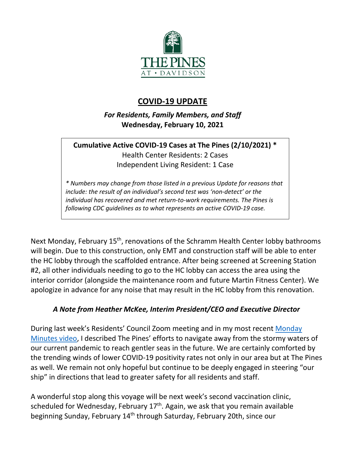

## **COVID-19 UPDATE**

*For Residents, Family Members, and Staff* **Wednesday, February 10, 2021**

## **Cumulative Active COVID-19 Cases at The Pines (2/10/2021) \*** Health Center Residents: 2 Cases Independent Living Resident: 1 Case

*\* Numbers may change from those listed in a previous Update for reasons that include: the result of an individual's second test was 'non-detect' or the individual has recovered and met return-to-work requirements. The Pines is following CDC guidelines as to what represents an active COVID-19 case.*

Next Monday, February 15<sup>th</sup>, renovations of the Schramm Health Center lobby bathrooms will begin. Due to this construction, only EMT and construction staff will be able to enter the HC lobby through the scaffolded entrance. After being screened at Screening Station #2, all other individuals needing to go to the HC lobby can access the area using the interior corridor (alongside the maintenance room and future Martin Fitness Center). We apologize in advance for any noise that may result in the HC lobby from this renovation.

## *A Note from Heather McKee, Interim President/CEO and Executive Director*

During last week's Residents' Council Zoom meeting and in my most recent [Monday](https://youtu.be/8U9XwOK0hHM)  [Minutes video,](https://youtu.be/8U9XwOK0hHM) I described The Pines' efforts to navigate away from the stormy waters of our current pandemic to reach gentler seas in the future. We are certainly comforted by the trending winds of lower COVID-19 positivity rates not only in our area but at The Pines as well. We remain not only hopeful but continue to be deeply engaged in steering "our ship" in directions that lead to greater safety for all residents and staff.

A wonderful stop along this voyage will be next week's second vaccination clinic, scheduled for Wednesday, February  $17<sup>th</sup>$ . Again, we ask that you remain available beginning Sunday, February 14<sup>th</sup> through Saturday, February 20th, since our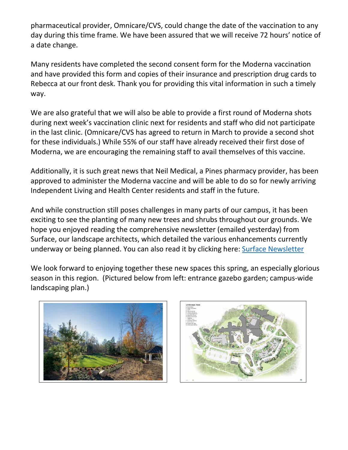pharmaceutical provider, Omnicare/CVS, could change the date of the vaccination to any day during this time frame. We have been assured that we will receive 72 hours' notice of a date change.

Many residents have completed the second consent form for the Moderna vaccination and have provided this form and copies of their insurance and prescription drug cards to Rebecca at our front desk. Thank you for providing this vital information in such a timely way.

We are also grateful that we will also be able to provide a first round of Moderna shots during next week's vaccination clinic next for residents and staff who did not participate in the last clinic. (Omnicare/CVS has agreed to return in March to provide a second shot for these individuals.) While 55% of our staff have already received their first dose of Moderna, we are encouraging the remaining staff to avail themselves of this vaccine.

Additionally, it is such great news that Neil Medical, a Pines pharmacy provider, has been approved to administer the Moderna vaccine and will be able to do so for newly arriving Independent Living and Health Center residents and staff in the future.

And while construction still poses challenges in many parts of our campus, it has been exciting to see the planting of many new trees and shrubs throughout our grounds. We hope you enjoyed reading the comprehensive newsletter (emailed yesterday) from Surface, our landscape architects, which detailed the various enhancements currently underway or being planned. You can also read it by clicking here: [Surface Newsletter](https://www.mycommunity-center.com/filephotos/463/Landscaping%20newsletter%20%20exhibits%202.9.21.pdf)

We look forward to enjoying together these new spaces this spring, an especially glorious season in this region. (Pictured below from left: entrance gazebo garden; campus-wide landscaping plan.)